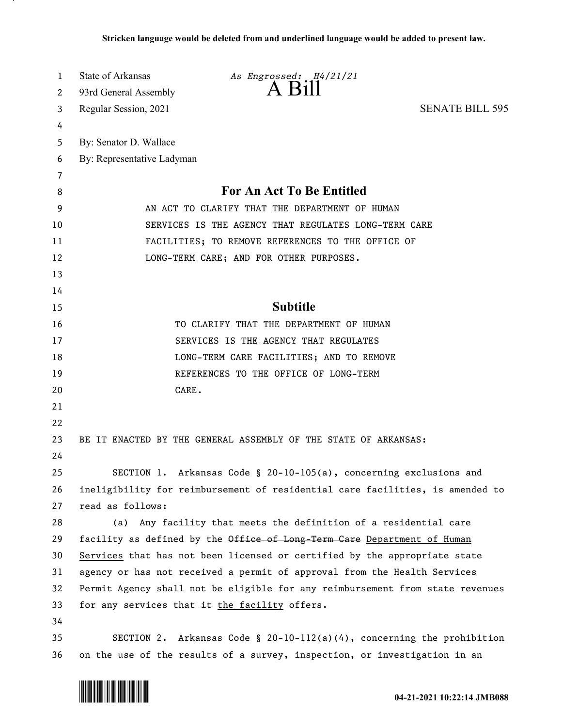| 1  | State of Arkansas                                                             | As Engrossed: H4/21/21                                                    |                        |
|----|-------------------------------------------------------------------------------|---------------------------------------------------------------------------|------------------------|
| 2  | 93rd General Assembly                                                         | $A$ $B111$                                                                |                        |
| 3  | Regular Session, 2021                                                         |                                                                           | <b>SENATE BILL 595</b> |
| 4  |                                                                               |                                                                           |                        |
| 5  | By: Senator D. Wallace                                                        |                                                                           |                        |
| 6  | By: Representative Ladyman                                                    |                                                                           |                        |
| 7  |                                                                               |                                                                           |                        |
| 8  | <b>For An Act To Be Entitled</b>                                              |                                                                           |                        |
| 9  | AN ACT TO CLARIFY THAT THE DEPARTMENT OF HUMAN                                |                                                                           |                        |
| 10 | SERVICES IS THE AGENCY THAT REGULATES LONG-TERM CARE                          |                                                                           |                        |
| 11 | FACILITIES; TO REMOVE REFERENCES TO THE OFFICE OF                             |                                                                           |                        |
| 12 | LONG-TERM CARE; AND FOR OTHER PURPOSES.                                       |                                                                           |                        |
| 13 |                                                                               |                                                                           |                        |
| 14 |                                                                               |                                                                           |                        |
| 15 |                                                                               | <b>Subtitle</b>                                                           |                        |
| 16 |                                                                               | TO CLARIFY THAT THE DEPARTMENT OF HUMAN                                   |                        |
| 17 | SERVICES IS THE AGENCY THAT REGULATES                                         |                                                                           |                        |
| 18 | LONG-TERM CARE FACILITIES; AND TO REMOVE                                      |                                                                           |                        |
| 19 |                                                                               | REFERENCES TO THE OFFICE OF LONG-TERM                                     |                        |
| 20 | CARE.                                                                         |                                                                           |                        |
| 21 |                                                                               |                                                                           |                        |
| 22 |                                                                               |                                                                           |                        |
| 23 |                                                                               | BE IT ENACTED BY THE GENERAL ASSEMBLY OF THE STATE OF ARKANSAS:           |                        |
| 24 |                                                                               |                                                                           |                        |
| 25 |                                                                               | SECTION 1. Arkansas Code § 20-10-105(a), concerning exclusions and        |                        |
| 26 | ineligibility for reimbursement of residential care facilities, is amended to |                                                                           |                        |
| 27 | read as follows:                                                              |                                                                           |                        |
| 28 |                                                                               | (a) Any facility that meets the definition of a residential care          |                        |
| 29 |                                                                               | facility as defined by the Office of Long-Term Care Department of Human   |                        |
| 30 | Services that has not been licensed or certified by the appropriate state     |                                                                           |                        |
| 31 | agency or has not received a permit of approval from the Health Services      |                                                                           |                        |
| 32 | Permit Agency shall not be eligible for any reimbursement from state revenues |                                                                           |                        |
| 33 | for any services that it the facility offers.                                 |                                                                           |                        |
| 34 |                                                                               |                                                                           |                        |
| 35 |                                                                               | SECTION 2. Arkansas Code § 20-10-112(a)(4), concerning the prohibition    |                        |
| 36 |                                                                               | on the use of the results of a survey, inspection, or investigation in an |                        |

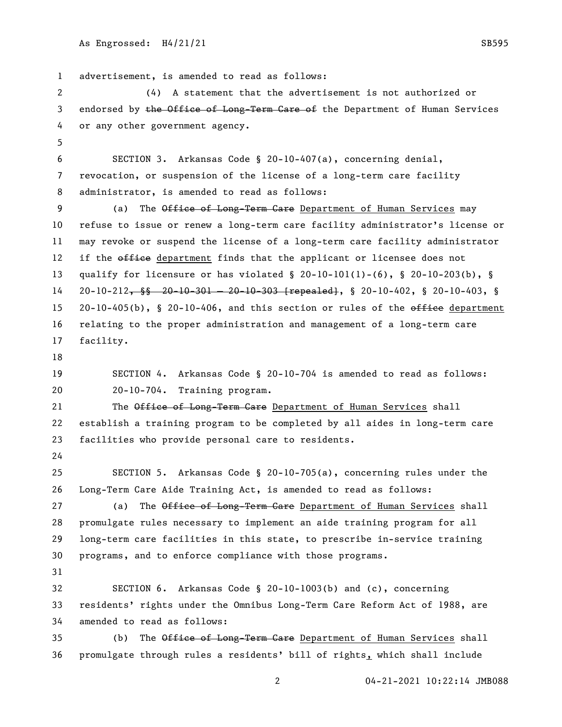```
As Engrossed: H4/21/21 SB595
```
 advertisement, is amended to read as follows: (4) A statement that the advertisement is not authorized or 3 endorsed by the Office of Long-Term Care of the Department of Human Services or any other government agency. SECTION 3. Arkansas Code § 20-10-407(a), concerning denial, revocation, or suspension of the license of a long-term care facility administrator, is amended to read as follows: 9 (a) The Office of Long-Term Care Department of Human Services may refuse to issue or renew a long-term care facility administrator's license or may revoke or suspend the license of a long-term care facility administrator 12 if the office department finds that the applicant or licensee does not qualify for licensure or has violated § 20-10-101(1)-(6), § 20-10-203(b), § 20-10-212, §§ 20-10-301 — 20-10-303 [repealed], § 20-10-402, § 20-10-403, § 15 20-10-405(b), § 20-10-406, and this section or rules of the  $\theta$ fie department relating to the proper administration and management of a long-term care facility. SECTION 4. Arkansas Code § 20-10-704 is amended to read as follows: 20-10-704. Training program. 21 The Office of Long-Term Care Department of Human Services shall establish a training program to be completed by all aides in long-term care facilities who provide personal care to residents. SECTION 5. Arkansas Code § 20-10-705(a), concerning rules under the Long-Term Care Aide Training Act, is amended to read as follows: 27 (a) The Office of Long-Term Care Department of Human Services shall promulgate rules necessary to implement an aide training program for all long-term care facilities in this state, to prescribe in-service training programs, and to enforce compliance with those programs. SECTION 6. Arkansas Code § 20-10-1003(b) and (c), concerning residents' rights under the Omnibus Long-Term Care Reform Act of 1988, are amended to read as follows: 35 (b) The Office of Long-Term Care Department of Human Services shall promulgate through rules a residents' bill of rights, which shall include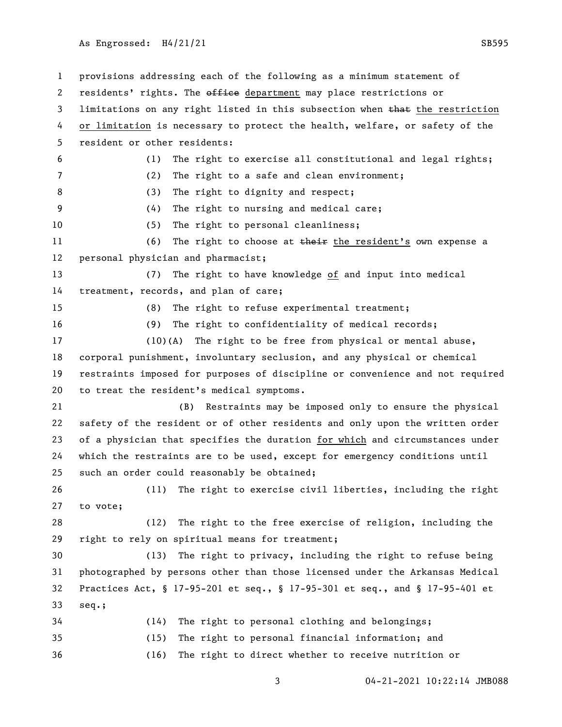As Engrossed: H4/21/21 SB595

 provisions addressing each of the following as a minimum statement of 2 residents' rights. The office department may place restrictions or 3 limitations on any right listed in this subsection when that the restriction or limitation is necessary to protect the health, welfare, or safety of the resident or other residents: (1) The right to exercise all constitutional and legal rights; (2) The right to a safe and clean environment; 8 (3) The right to dignity and respect; (4) The right to nursing and medical care; (5) The right to personal cleanliness; 11 (6) The right to choose at their the resident's own expense a personal physician and pharmacist; (7) The right to have knowledge of and input into medical treatment, records, and plan of care; (8) The right to refuse experimental treatment; (9) The right to confidentiality of medical records; (10)(A) The right to be free from physical or mental abuse, corporal punishment, involuntary seclusion, and any physical or chemical restraints imposed for purposes of discipline or convenience and not required to treat the resident's medical symptoms. (B) Restraints may be imposed only to ensure the physical safety of the resident or of other residents and only upon the written order of a physician that specifies the duration for which and circumstances under which the restraints are to be used, except for emergency conditions until such an order could reasonably be obtained; (11) The right to exercise civil liberties, including the right to vote; (12) The right to the free exercise of religion, including the right to rely on spiritual means for treatment; (13) The right to privacy, including the right to refuse being photographed by persons other than those licensed under the Arkansas Medical Practices Act, § 17-95-201 et seq., § 17-95-301 et seq., and § 17-95-401 et seq.; (14) The right to personal clothing and belongings; (15) The right to personal financial information; and (16) The right to direct whether to receive nutrition or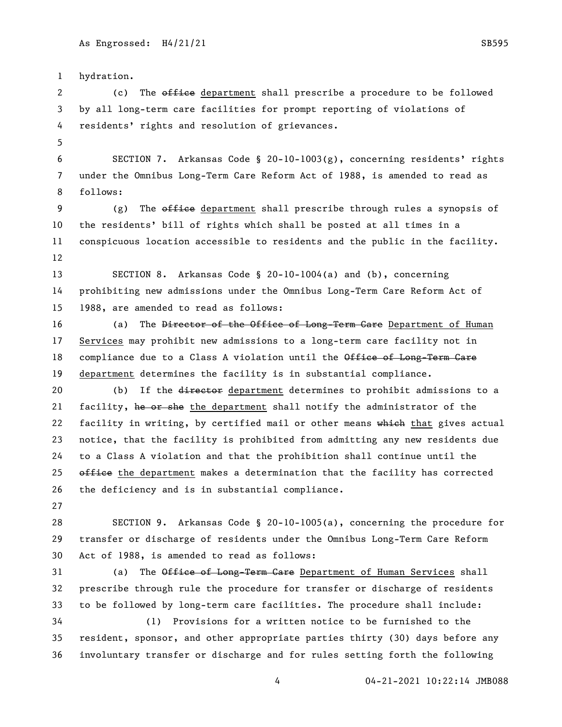hydration. 2 (c) The office department shall prescribe a procedure to be followed by all long-term care facilities for prompt reporting of violations of residents' rights and resolution of grievances. SECTION 7. Arkansas Code § 20-10-1003(g), concerning residents' rights under the Omnibus Long-Term Care Reform Act of 1988, is amended to read as follows: 9 (g) The  $\theta$  and  $\theta$  are department shall prescribe through rules a synopsis of the residents' bill of rights which shall be posted at all times in a conspicuous location accessible to residents and the public in the facility. SECTION 8. Arkansas Code § 20-10-1004(a) and (b), concerning prohibiting new admissions under the Omnibus Long-Term Care Reform Act of 1988, are amended to read as follows: 16 (a) The <del>Director of the Office of Long-Term Care</del> Department of Human Services may prohibit new admissions to a long-term care facility not in 18 compliance due to a Class A violation until the Office of Long-Term Care department determines the facility is in substantial compliance. 20 (b) If the director department determines to prohibit admissions to a 21 facility, he or she the department shall notify the administrator of the 22 facility in writing, by certified mail or other means which that gives actual notice, that the facility is prohibited from admitting any new residents due to a Class A violation and that the prohibition shall continue until the  $\theta$  office the department makes a determination that the facility has corrected the deficiency and is in substantial compliance. SECTION 9. Arkansas Code § 20-10-1005(a), concerning the procedure for transfer or discharge of residents under the Omnibus Long-Term Care Reform Act of 1988, is amended to read as follows: 31 (a) The Office of Long-Term Care Department of Human Services shall prescribe through rule the procedure for transfer or discharge of residents to be followed by long-term care facilities. The procedure shall include: (1) Provisions for a written notice to be furnished to the resident, sponsor, and other appropriate parties thirty (30) days before any involuntary transfer or discharge and for rules setting forth the following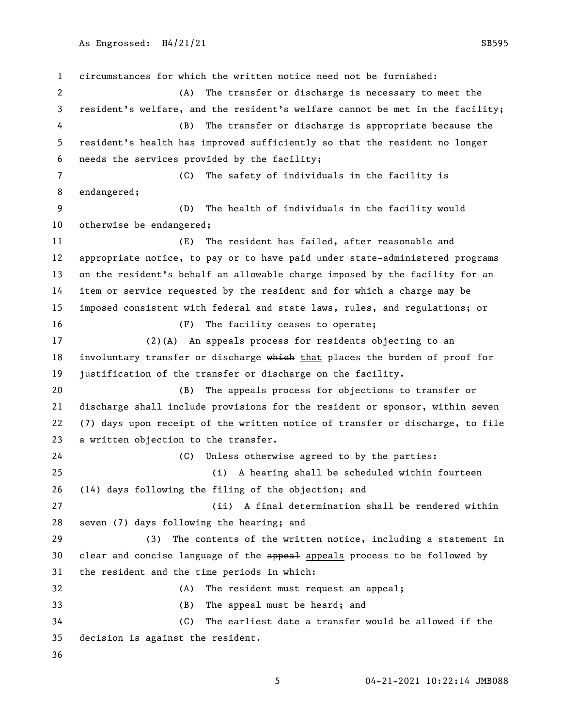circumstances for which the written notice need not be furnished: (A) The transfer or discharge is necessary to meet the resident's welfare, and the resident's welfare cannot be met in the facility; (B) The transfer or discharge is appropriate because the resident's health has improved sufficiently so that the resident no longer needs the services provided by the facility; (C) The safety of individuals in the facility is endangered; (D) The health of individuals in the facility would otherwise be endangered; (E) The resident has failed, after reasonable and appropriate notice, to pay or to have paid under state-administered programs on the resident's behalf an allowable charge imposed by the facility for an item or service requested by the resident and for which a charge may be imposed consistent with federal and state laws, rules, and regulations; or (F) The facility ceases to operate; (2)(A) An appeals process for residents objecting to an 18 involuntary transfer or discharge which that places the burden of proof for justification of the transfer or discharge on the facility. (B) The appeals process for objections to transfer or discharge shall include provisions for the resident or sponsor, within seven (7) days upon receipt of the written notice of transfer or discharge, to file a written objection to the transfer. (C) Unless otherwise agreed to by the parties: (i) A hearing shall be scheduled within fourteen (14) days following the filing of the objection; and (ii) A final determination shall be rendered within seven (7) days following the hearing; and (3) The contents of the written notice, including a statement in 30 clear and concise language of the appeal appeals process to be followed by the resident and the time periods in which: (A) The resident must request an appeal; (B) The appeal must be heard; and (C) The earliest date a transfer would be allowed if the decision is against the resident.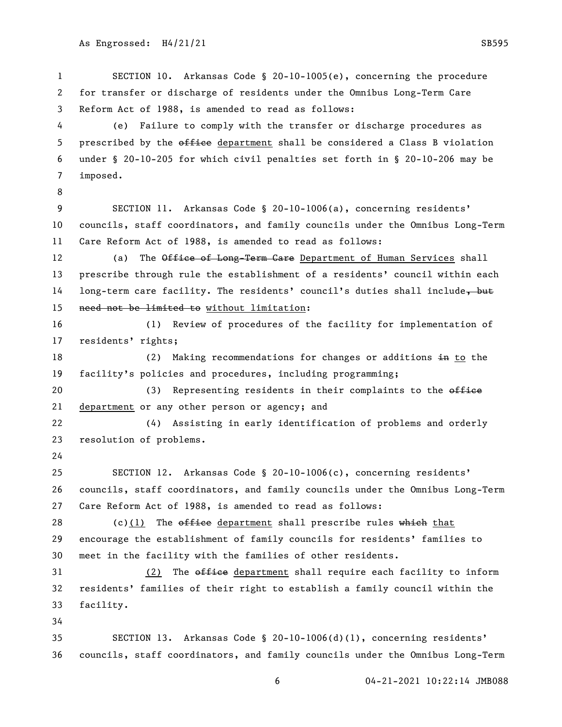SECTION 10. Arkansas Code § 20-10-1005(e), concerning the procedure

 for transfer or discharge of residents under the Omnibus Long-Term Care Reform Act of 1988, is amended to read as follows:

 (e) Failure to comply with the transfer or discharge procedures as 5 prescribed by the office department shall be considered a Class B violation under § 20-10-205 for which civil penalties set forth in § 20-10-206 may be imposed.

 SECTION 11. Arkansas Code § 20-10-1006(a), concerning residents' councils, staff coordinators, and family councils under the Omnibus Long-Term Care Reform Act of 1988, is amended to read as follows:

12 (a) The Office of Long-Term Care Department of Human Services shall prescribe through rule the establishment of a residents' council within each 14 long-term care facility. The residents' council's duties shall include, but need not be limited to without limitation:

 (1) Review of procedures of the facility for implementation of residents' rights;

18 (2) Making recommendations for changes or additions in to the facility's policies and procedures, including programming;

20 (3) Representing residents in their complaints to the office department or any other person or agency; and

 (4) Assisting in early identification of problems and orderly resolution of problems.

 SECTION 12. Arkansas Code § 20-10-1006(c), concerning residents' councils, staff coordinators, and family councils under the Omnibus Long-Term Care Reform Act of 1988, is amended to read as follows:

28 (c)(1) The  $\theta$  of field department shall prescribe rules which that encourage the establishment of family councils for residents' families to meet in the facility with the families of other residents.

31 (2) The office department shall require each facility to inform residents' families of their right to establish a family council within the facility.

 SECTION 13. Arkansas Code § 20-10-1006(d)(1), concerning residents' councils, staff coordinators, and family councils under the Omnibus Long-Term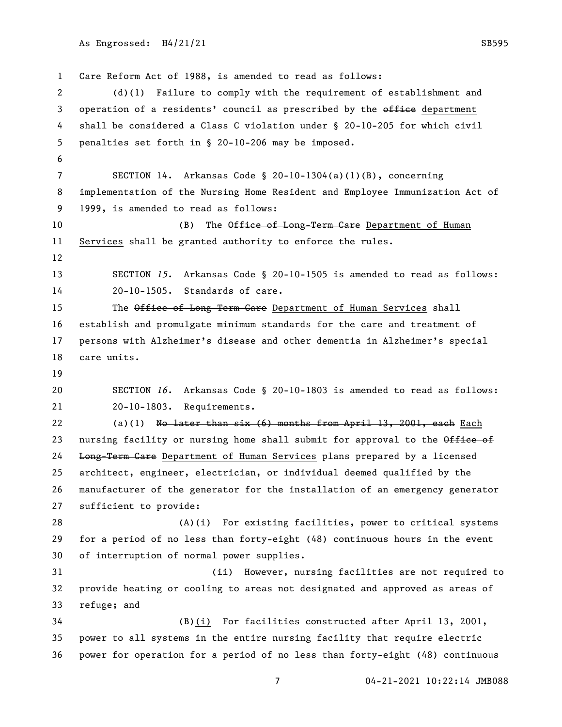```
As Engrossed: H4/21/21 SB595
```
 Care Reform Act of 1988, is amended to read as follows: (d)(1) Failure to comply with the requirement of establishment and 3 operation of a residents' council as prescribed by the office department shall be considered a Class C violation under § 20-10-205 for which civil penalties set forth in § 20-10-206 may be imposed. SECTION 14. Arkansas Code § 20-10-1304(a)(1)(B), concerning implementation of the Nursing Home Resident and Employee Immunization Act of 1999, is amended to read as follows: 10 (B) The Office of Long-Term Care Department of Human Services shall be granted authority to enforce the rules. SECTION *15*. Arkansas Code § 20-10-1505 is amended to read as follows: 20-10-1505. Standards of care. 15 The Office of Long-Term Care Department of Human Services shall establish and promulgate minimum standards for the care and treatment of persons with Alzheimer's disease and other dementia in Alzheimer's special care units. SECTION *16*. Arkansas Code § 20-10-1803 is amended to read as follows: 20-10-1803. Requirements. 22 (a)(1) No later than  $six (6)$  months from April 13, 2001, each Each 23 nursing facility or nursing home shall submit for approval to the Office of 24 Long-Term Care Department of Human Services plans prepared by a licensed architect, engineer, electrician, or individual deemed qualified by the manufacturer of the generator for the installation of an emergency generator sufficient to provide: (A)(i) For existing facilities, power to critical systems for a period of no less than forty-eight (48) continuous hours in the event of interruption of normal power supplies. (ii) However, nursing facilities are not required to provide heating or cooling to areas not designated and approved as areas of refuge; and (B)(i) For facilities constructed after April 13, 2001, power to all systems in the entire nursing facility that require electric power for operation for a period of no less than forty-eight (48) continuous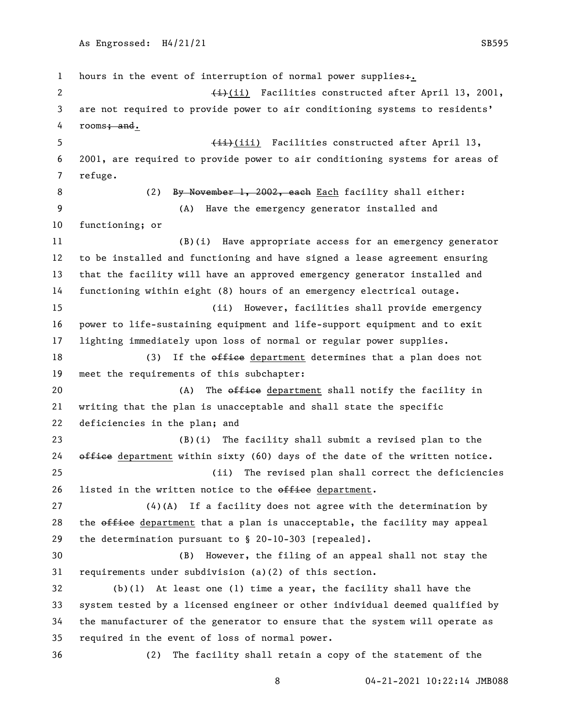1 hours in the event of interruption of normal power supplies+.  $\leftarrow$   $\leftarrow$   $\leftarrow$   $\leftarrow$   $\leftarrow$   $\leftarrow$   $\leftarrow$   $\leftarrow$   $\leftarrow$   $\leftarrow$   $\leftarrow$   $\leftarrow$   $\leftarrow$   $\leftarrow$   $\leftarrow$   $\leftarrow$   $\leftarrow$   $\leftarrow$   $\leftarrow$   $\leftarrow$   $\leftarrow$   $\leftarrow$   $\leftarrow$   $\leftarrow$   $\leftarrow$   $\leftarrow$   $\leftarrow$   $\leftarrow$   $\leftarrow$   $\leftarrow$   $\leftarrow$   $\leftarrow$   $\leftarrow$   $\leftarrow$   $\leftarrow$   $\leftarrow$   $\left$  are not required to provide power to air conditioning systems to residents' 4 rooms<del>; and</del>. 5 (iii) Facilities constructed after April 13, 2001, are required to provide power to air conditioning systems for areas of refuge. 8 (2) By November 1, 2002, each Each facility shall either: (A) Have the emergency generator installed and functioning; or (B)(i) Have appropriate access for an emergency generator to be installed and functioning and have signed a lease agreement ensuring that the facility will have an approved emergency generator installed and functioning within eight (8) hours of an emergency electrical outage. (ii) However, facilities shall provide emergency power to life-sustaining equipment and life-support equipment and to exit lighting immediately upon loss of normal or regular power supplies. 18 (3) If the office department determines that a plan does not meet the requirements of this subchapter: 20 (A) The office department shall notify the facility in writing that the plan is unacceptable and shall state the specific deficiencies in the plan; and (B)(i) The facility shall submit a revised plan to the  $\theta$  office department within sixty (60) days of the date of the written notice. (ii) The revised plan shall correct the deficiencies 26 listed in the written notice to the office department. (4)(A) If a facility does not agree with the determination by 28 the office department that a plan is unacceptable, the facility may appeal the determination pursuant to § 20-10-303 [repealed]. (B) However, the filing of an appeal shall not stay the requirements under subdivision (a)(2) of this section. (b)(1) At least one (1) time a year, the facility shall have the system tested by a licensed engineer or other individual deemed qualified by the manufacturer of the generator to ensure that the system will operate as required in the event of loss of normal power. (2) The facility shall retain a copy of the statement of the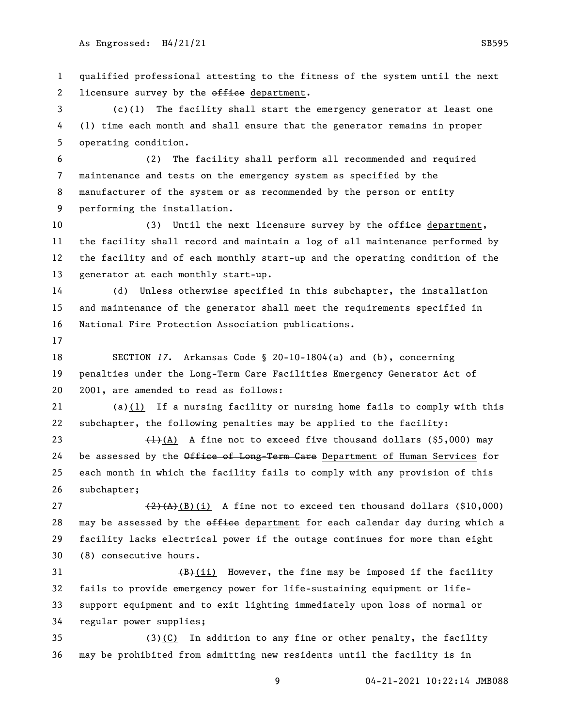qualified professional attesting to the fitness of the system until the next 2 licensure survey by the office department.

 (c)(1) The facility shall start the emergency generator at least one (1) time each month and shall ensure that the generator remains in proper operating condition.

 (2) The facility shall perform all recommended and required maintenance and tests on the emergency system as specified by the manufacturer of the system or as recommended by the person or entity performing the installation.

10 (3) Until the next licensure survey by the effice department, the facility shall record and maintain a log of all maintenance performed by the facility and of each monthly start-up and the operating condition of the generator at each monthly start-up.

 (d) Unless otherwise specified in this subchapter, the installation and maintenance of the generator shall meet the requirements specified in National Fire Protection Association publications.

 SECTION *17*. Arkansas Code § 20-10-1804(a) and (b), concerning penalties under the Long-Term Care Facilities Emergency Generator Act of 2001, are amended to read as follows:

 (a)(1) If a nursing facility or nursing home fails to comply with this subchapter, the following penalties may be applied to the facility:

 $(1)$ (A) A fine not to exceed five thousand dollars (\$5,000) may 24 be assessed by the Office of Long-Term Care Department of Human Services for each month in which the facility fails to comply with any provision of this subchapter;

 $(2)$   $(4)$  $(4)$  $(8)$ (i) A fine not to exceed ten thousand dollars (\$10,000) 28 may be assessed by the office department for each calendar day during which a facility lacks electrical power if the outage continues for more than eight (8) consecutive hours.

 $(B)+(ii)$  However, the fine may be imposed if the facility fails to provide emergency power for life-sustaining equipment or life- support equipment and to exit lighting immediately upon loss of normal or regular power supplies;

35  $(3)$  (C) In addition to any fine or other penalty, the facility may be prohibited from admitting new residents until the facility is in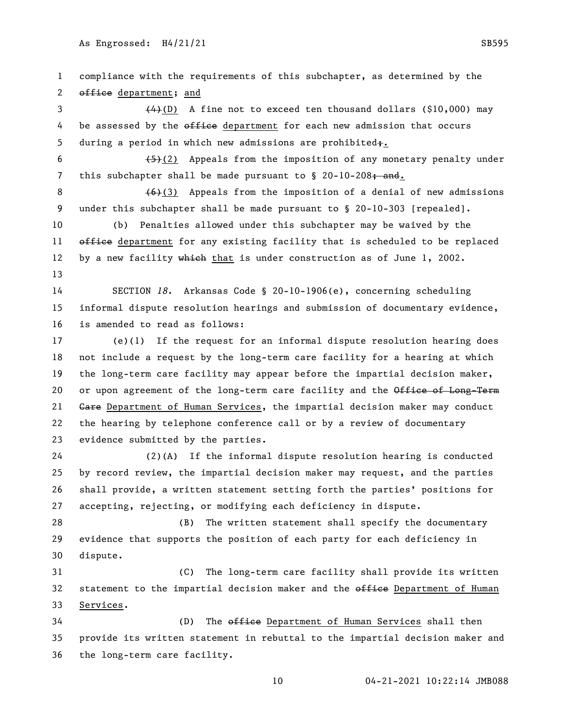compliance with the requirements of this subchapter, as determined by the 2 office department; and  $(4)(D)$  A fine not to exceed ten thousand dollars (\$10,000) may 4 be assessed by the office department for each new admission that occurs 5 during a period in which new admissions are prohibited $\ddot{+}$ .  $\left(-5\right)\left(2\right)$  Appeals from the imposition of any monetary penalty under 7 this subchapter shall be made pursuant to  $\S$  20-10-208; and.  $(6)(3)$  Appeals from the imposition of a denial of new admissions under this subchapter shall be made pursuant to § 20-10-303 [repealed]. (b) Penalties allowed under this subchapter may be waived by the 11 office department for any existing facility that is scheduled to be replaced 12 by a new facility which that is under construction as of June 1, 2002. SECTION *18*. Arkansas Code § 20-10-1906(e), concerning scheduling informal dispute resolution hearings and submission of documentary evidence, is amended to read as follows: (e)(1) If the request for an informal dispute resolution hearing does not include a request by the long-term care facility for a hearing at which the long-term care facility may appear before the impartial decision maker, 20 or upon agreement of the long-term care facility and the Office of Long-Term 21 Gare Department of Human Services, the impartial decision maker may conduct the hearing by telephone conference call or by a review of documentary evidence submitted by the parties. (2)(A) If the informal dispute resolution hearing is conducted by record review, the impartial decision maker may request, and the parties shall provide, a written statement setting forth the parties' positions for accepting, rejecting, or modifying each deficiency in dispute. (B) The written statement shall specify the documentary evidence that supports the position of each party for each deficiency in dispute. (C) The long-term care facility shall provide its written 32 statement to the impartial decision maker and the office Department of Human Services. 34 (D) The office Department of Human Services shall then provide its written statement in rebuttal to the impartial decision maker and the long-term care facility.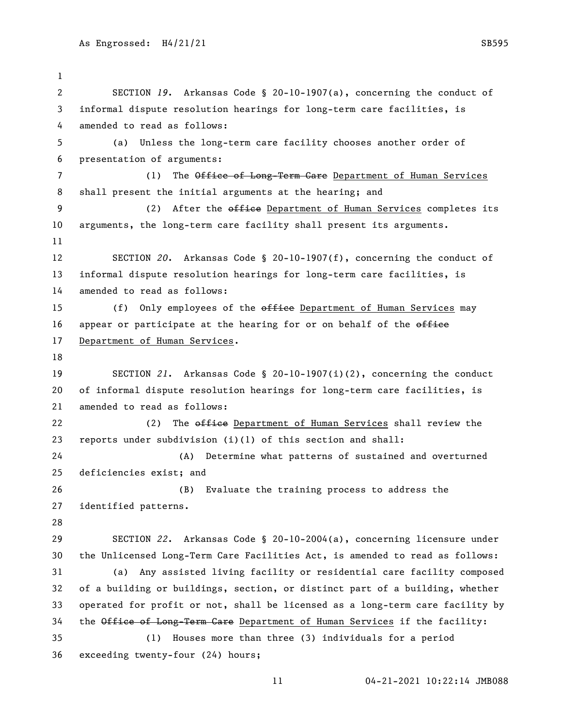SECTION *19*. Arkansas Code § 20-10-1907(a), concerning the conduct of informal dispute resolution hearings for long-term care facilities, is amended to read as follows: (a) Unless the long-term care facility chooses another order of presentation of arguments: 7 (1) The Office of Long-Term Care Department of Human Services shall present the initial arguments at the hearing; and 9 (2) After the office Department of Human Services completes its arguments, the long-term care facility shall present its arguments. SECTION *20*. Arkansas Code § 20-10-1907(f), concerning the conduct of informal dispute resolution hearings for long-term care facilities, is amended to read as follows: 15 (f) Only employees of the office Department of Human Services may 16 appear or participate at the hearing for or on behalf of the  $\theta$ 17 Department of Human Services. SECTION *21*. Arkansas Code § 20-10-1907(i)(2), concerning the conduct of informal dispute resolution hearings for long-term care facilities, is amended to read as follows: 22 (2) The office Department of Human Services shall review the reports under subdivision (i)(1) of this section and shall: (A) Determine what patterns of sustained and overturned deficiencies exist; and (B) Evaluate the training process to address the identified patterns. SECTION *22*. Arkansas Code § 20-10-2004(a), concerning licensure under the Unlicensed Long-Term Care Facilities Act, is amended to read as follows: (a) Any assisted living facility or residential care facility composed of a building or buildings, section, or distinct part of a building, whether operated for profit or not, shall be licensed as a long-term care facility by 34 the Office of Long-Term Care Department of Human Services if the facility: (1) Houses more than three (3) individuals for a period exceeding twenty-four (24) hours;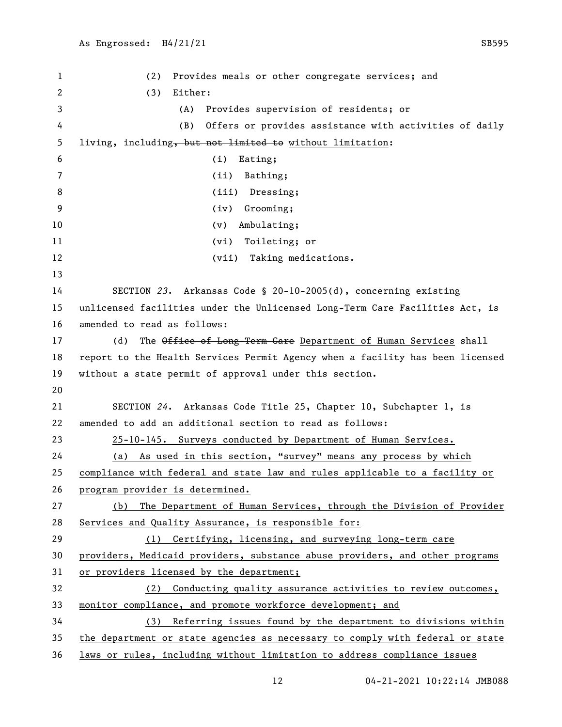(2) Provides meals or other congregate services; and (3) Either: (A) Provides supervision of residents; or (B) Offers or provides assistance with activities of daily living, including, but not limited to without limitation: (i) Eating; (ii) Bathing; 8 (iii) Dressing; (iv) Grooming; 10 (v) Ambulating; (vi) Toileting; or 12 (vii) Taking medications. SECTION *23*. Arkansas Code § 20-10-2005(d), concerning existing unlicensed facilities under the Unlicensed Long-Term Care Facilities Act, is amended to read as follows: 17 (d) The Office of Long-Term Care Department of Human Services shall report to the Health Services Permit Agency when a facility has been licensed without a state permit of approval under this section. SECTION *24*. Arkansas Code Title 25, Chapter 10, Subchapter 1, is amended to add an additional section to read as follows: 25-10-145. Surveys conducted by Department of Human Services. (a) As used in this section, "survey" means any process by which compliance with federal and state law and rules applicable to a facility or program provider is determined. (b) The Department of Human Services, through the Division of Provider Services and Quality Assurance, is responsible for: (1) Certifying, licensing, and surveying long-term care providers, Medicaid providers, substance abuse providers, and other programs or providers licensed by the department; (2) Conducting quality assurance activities to review outcomes, monitor compliance, and promote workforce development; and (3) Referring issues found by the department to divisions within the department or state agencies as necessary to comply with federal or state laws or rules, including without limitation to address compliance issues